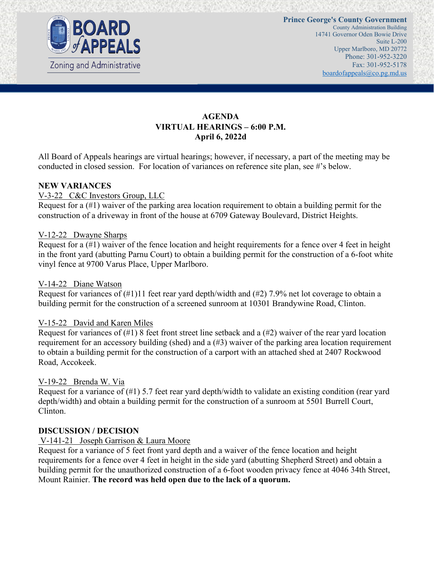

## **AGENDA VIRTUAL HEARINGS – 6:00 P.M. April 6, 2022d**

All Board of Appeals hearings are virtual hearings; however, if necessary, a part of the meeting may be conducted in closed session. For location of variances on reference site plan, see #'s below.

### **NEW VARIANCES**

### V-3-22 C&C Investors Group, LLC

Request for a (#1) waiver of the parking area location requirement to obtain a building permit for the construction of a driveway in front of the house at 6709 Gateway Boulevard, District Heights.

#### V-12-22 Dwayne Sharps

Request for a (#1) waiver of the fence location and height requirements for a fence over 4 feet in height in the front yard (abutting Parnu Court) to obtain a building permit for the construction of a 6-foot white vinyl fence at 9700 Varus Place, Upper Marlboro.

#### V-14-22 Diane Watson

Request for variances of (#1)11 feet rear yard depth/width and (#2) 7.9% net lot coverage to obtain a building permit for the construction of a screened sunroom at 10301 Brandywine Road, Clinton.

### V-15-22 David and Karen Miles

Request for variances of  $(\#1)$  8 feet front street line setback and a  $(\#2)$  waiver of the rear yard location requirement for an accessory building (shed) and a (#3) waiver of the parking area location requirement to obtain a building permit for the construction of a carport with an attached shed at 2407 Rockwood Road, Accokeek.

### V-19-22 Brenda W. Via

Request for a variance of (#1) 5.7 feet rear yard depth/width to validate an existing condition (rear yard depth/width) and obtain a building permit for the construction of a sunroom at 5501 Burrell Court, Clinton.

#### **DISCUSSION / DECISION**

### V-141-21 Joseph Garrison & Laura Moore

Request for a variance of 5 feet front yard depth and a waiver of the fence location and height requirements for a fence over 4 feet in height in the side yard (abutting Shepherd Street) and obtain a building permit for the unauthorized construction of a 6-foot wooden privacy fence at 4046 34th Street, Mount Rainier. **The record was held open due to the lack of a quorum.**